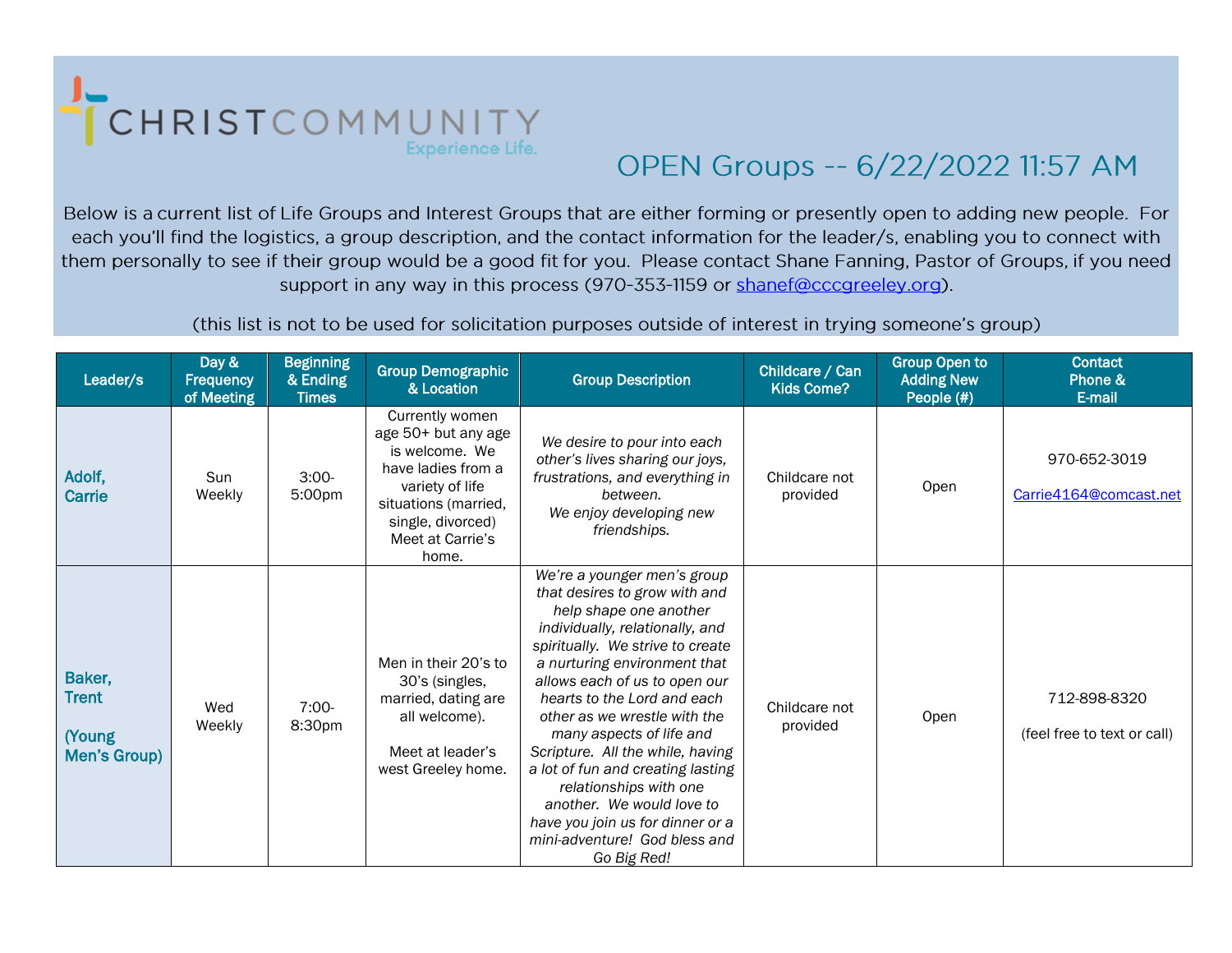

## OPEN Groups -- 6/22/2022 11:57 AM

Below is a current list of Life Groups and Interest Groups that are either forming or presently open to adding new people. For each you'll find the logistics, a group description, and the contact information for the leader/s, enabling you to connect with them personally to see if their group would be a good fit for you. Please contact Shane Fanning, Pastor of Groups, if you need support in any way in this process (970-353-1159 or shanef@cccqreeley.org).

(this list is not to be used for solicitation purposes outside of interest in trying someone's group)

| Leader/s                                         | Day &<br>Frequency<br>of Meeting | <b>Beginning</b><br>& Ending<br><b>Times</b> | <b>Group Demographic</b><br>& Location                                                                                                                                      | <b>Group Description</b>                                                                                                                                                                                                                                                                                                                                                                                                                                                                                                                      | Childcare / Can<br>Kids Come? | <b>Group Open to</b><br><b>Adding New</b><br>People (#) | <b>Contact</b><br>Phone &<br>E-mail         |
|--------------------------------------------------|----------------------------------|----------------------------------------------|-----------------------------------------------------------------------------------------------------------------------------------------------------------------------------|-----------------------------------------------------------------------------------------------------------------------------------------------------------------------------------------------------------------------------------------------------------------------------------------------------------------------------------------------------------------------------------------------------------------------------------------------------------------------------------------------------------------------------------------------|-------------------------------|---------------------------------------------------------|---------------------------------------------|
| Adolf,<br><b>Carrie</b>                          | Sun<br>Weekly                    | $3:00-$<br>5:00pm                            | Currently women<br>age 50+ but any age<br>is welcome. We<br>have ladies from a<br>variety of life<br>situations (married,<br>single, divorced)<br>Meet at Carrie's<br>home. | We desire to pour into each<br>other's lives sharing our joys,<br>frustrations, and everything in<br>between.<br>We enjoy developing new<br>friendships.                                                                                                                                                                                                                                                                                                                                                                                      | Childcare not<br>provided     | Open                                                    | 970-652-3019<br>Carrie4164@comcast.net      |
| Baker,<br><b>Trent</b><br>(Young<br>Men's Group) | Wed<br>Weekly                    | $7:00-$<br>8:30 <sub>pm</sub>                | Men in their 20's to<br>30's (singles,<br>married, dating are<br>all welcome).<br>Meet at leader's<br>west Greeley home.                                                    | We're a younger men's group<br>that desires to grow with and<br>help shape one another<br>individually, relationally, and<br>spiritually. We strive to create<br>a nurturing environment that<br>allows each of us to open our<br>hearts to the Lord and each<br>other as we wrestle with the<br>many aspects of life and<br>Scripture. All the while, having<br>a lot of fun and creating lasting<br>relationships with one<br>another. We would love to<br>have you join us for dinner or a<br>mini-adventure! God bless and<br>Go Big Red! | Childcare not<br>provided     | Open                                                    | 712-898-8320<br>(feel free to text or call) |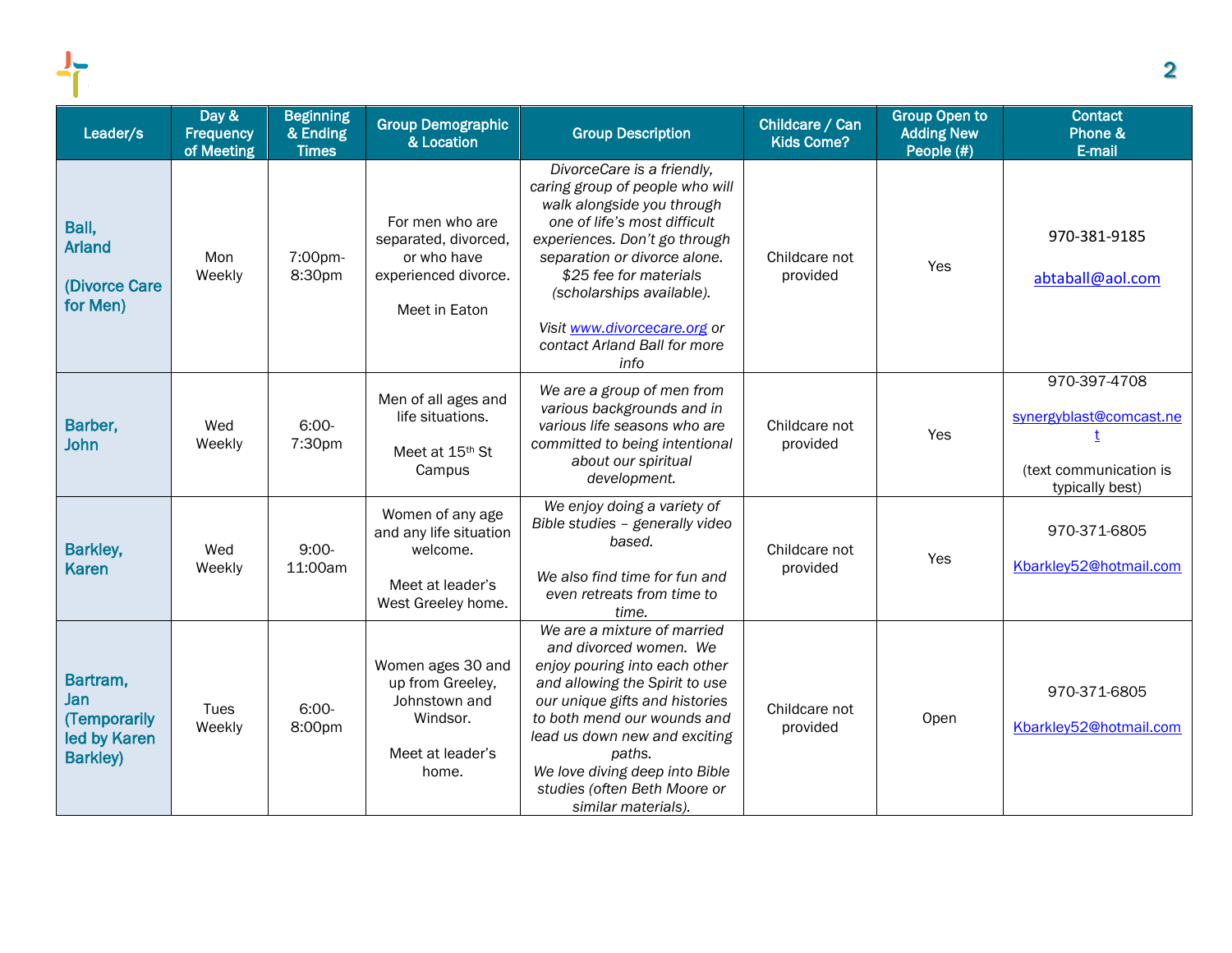| Leader/s                                                           | Day &<br>Frequency<br>of Meeting | <b>Beginning</b><br>& Ending<br><b>Times</b> | <b>Group Demographic</b><br>& Location                                                           | <b>Group Description</b>                                                                                                                                                                                                                                                                                                      | Childcare / Can<br><b>Kids Come?</b> | <b>Group Open to</b><br><b>Adding New</b><br>People (#) | <b>Contact</b><br>Phone &<br>E-mail                                                       |
|--------------------------------------------------------------------|----------------------------------|----------------------------------------------|--------------------------------------------------------------------------------------------------|-------------------------------------------------------------------------------------------------------------------------------------------------------------------------------------------------------------------------------------------------------------------------------------------------------------------------------|--------------------------------------|---------------------------------------------------------|-------------------------------------------------------------------------------------------|
| Ball,<br><b>Arland</b><br>(Divorce Care<br>for Men)                | Mon<br>Weekly                    | 7:00pm-<br>8:30pm                            | For men who are<br>separated, divorced,<br>or who have<br>experienced divorce.<br>Meet in Eaton  | DivorceCare is a friendly,<br>caring group of people who will<br>walk alongside you through<br>one of life's most difficult<br>experiences. Don't go through<br>separation or divorce alone.<br>\$25 fee for materials<br>(scholarships available).<br>Visit www.divorcecare.org or<br>contact Arland Ball for more<br>info   | Childcare not<br>provided            | Yes                                                     | 970-381-9185<br>abtaball@aol.com                                                          |
| Barber,<br><b>John</b>                                             | Wed<br>Weekly                    | $6:00-$<br>7:30pm                            | Men of all ages and<br>life situations.<br>Meet at 15 <sup>th</sup> St<br>Campus                 | We are a group of men from<br>various backgrounds and in<br>various life seasons who are<br>committed to being intentional<br>about our spiritual<br>development.                                                                                                                                                             | Childcare not<br>provided            | Yes                                                     | 970-397-4708<br>synergyblast@comcast.ne<br>t<br>(text communication is<br>typically best) |
| Barkley,<br><b>Karen</b>                                           | Wed<br>Weekly                    | $9:00-$<br>11:00am                           | Women of any age<br>and any life situation<br>welcome.<br>Meet at leader's<br>West Greeley home. | We enjoy doing a variety of<br>Bible studies - generally video<br>based.<br>We also find time for fun and<br>even retreats from time to<br>time.                                                                                                                                                                              | Childcare not<br>provided            | Yes                                                     | 970-371-6805<br>Kbarkley52@hotmail.com                                                    |
| Bartram,<br>Jan<br>(Temporarily<br>led by Karen<br><b>Barkley)</b> | Tues<br>Weekly                   | $6:00-$<br>8:00pm                            | Women ages 30 and<br>up from Greeley,<br>Johnstown and<br>Windsor.<br>Meet at leader's<br>home.  | We are a mixture of married<br>and divorced women. We<br>enjoy pouring into each other<br>and allowing the Spirit to use<br>our unique gifts and histories<br>to both mend our wounds and<br>lead us down new and exciting<br>paths.<br>We love diving deep into Bible<br>studies (often Beth Moore or<br>similar materials). | Childcare not<br>provided            | Open                                                    | 970-371-6805<br>Kbarkley52@hotmail.com                                                    |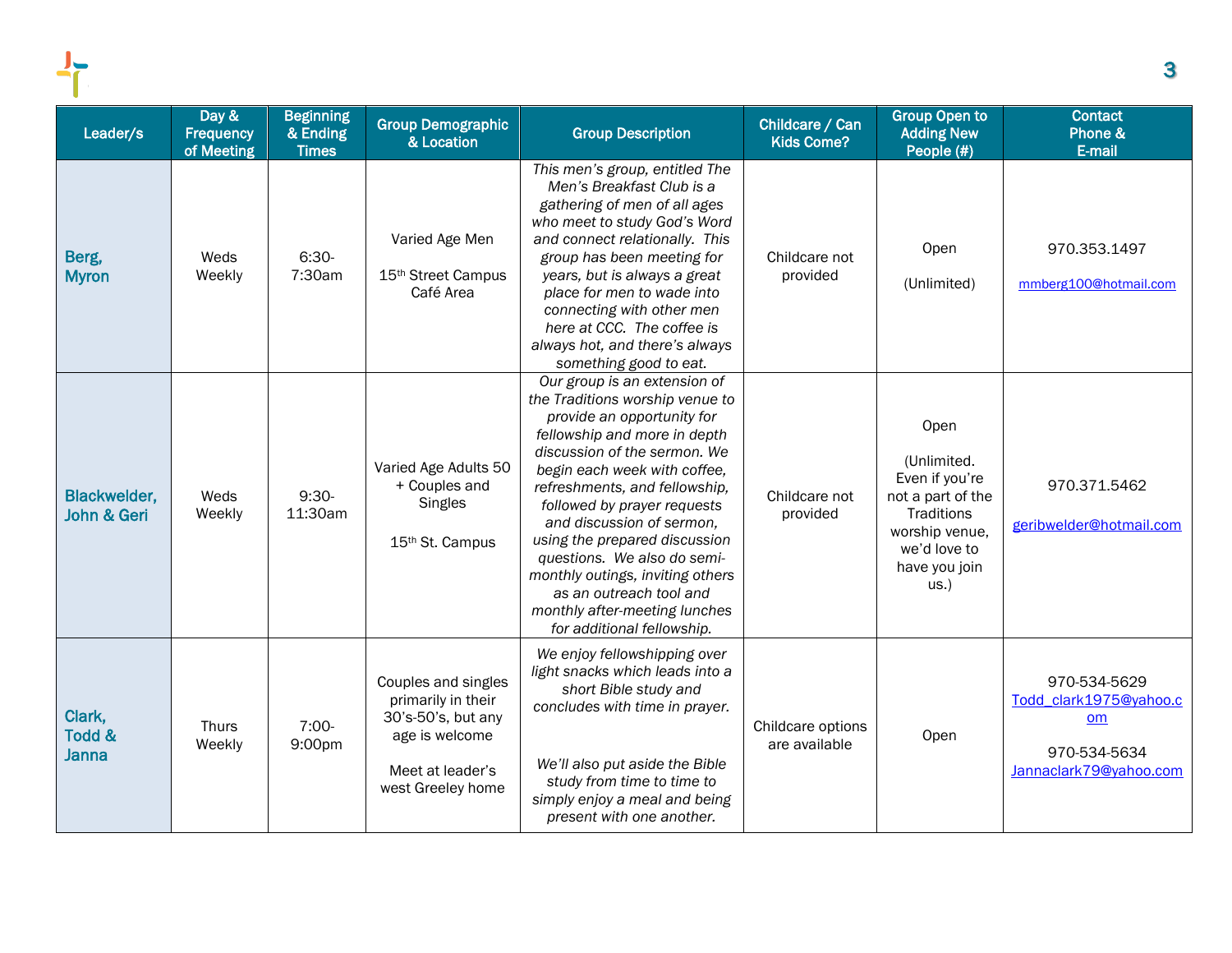| Leader/s                                      | Day &<br>Frequency<br>of Meeting | <b>Beginning</b><br>& Ending<br><b>Times</b> | <b>Group Demographic</b><br>& Location                                                                                     | <b>Group Description</b>                                                                                                                                                                                                                                                                                                                                                                                                                                                                 | Childcare / Can<br>Kids Come?      | <b>Group Open to</b><br><b>Adding New</b><br>People (#)                                                                                | <b>Contact</b><br>Phone &<br>E-mail                                                    |
|-----------------------------------------------|----------------------------------|----------------------------------------------|----------------------------------------------------------------------------------------------------------------------------|------------------------------------------------------------------------------------------------------------------------------------------------------------------------------------------------------------------------------------------------------------------------------------------------------------------------------------------------------------------------------------------------------------------------------------------------------------------------------------------|------------------------------------|----------------------------------------------------------------------------------------------------------------------------------------|----------------------------------------------------------------------------------------|
| Berg,<br><b>Myron</b>                         | Weds<br>Weekly                   | $6:30-$<br>7:30am                            | Varied Age Men<br>15 <sup>th</sup> Street Campus<br>Café Area                                                              | This men's group, entitled The<br>Men's Breakfast Club is a<br>gathering of men of all ages<br>who meet to study God's Word<br>and connect relationally. This<br>group has been meeting for<br>years, but is always a great<br>place for men to wade into<br>connecting with other men<br>here at CCC. The coffee is<br>always hot, and there's always<br>something good to eat.                                                                                                         | Childcare not<br>provided          | Open<br>(Unlimited)                                                                                                                    | 970.353.1497<br>mmberg100@hotmail.com                                                  |
| <b>Blackwelder,</b><br><b>John &amp; Geri</b> | Weds<br>Weekly                   | $9:30-$<br>11:30am                           | Varied Age Adults 50<br>+ Couples and<br>Singles<br>15 <sup>th</sup> St. Campus                                            | Our group is an extension of<br>the Traditions worship venue to<br>provide an opportunity for<br>fellowship and more in depth<br>discussion of the sermon. We<br>begin each week with coffee,<br>refreshments, and fellowship,<br>followed by prayer requests<br>and discussion of sermon,<br>using the prepared discussion<br>questions. We also do semi-<br>monthly outings, inviting others<br>as an outreach tool and<br>monthly after-meeting lunches<br>for additional fellowship. | Childcare not<br>provided          | Open<br>(Unlimited.<br>Even if you're<br>not a part of the<br>Traditions<br>worship venue,<br>we'd love to<br>have you join<br>$US.$ ) | 970.371.5462<br>geribwelder@hotmail.com                                                |
| Clark,<br>Todd &<br><b>Janna</b>              | Thurs<br>Weekly                  | $7:00-$<br>9:00pm                            | Couples and singles<br>primarily in their<br>30's-50's, but any<br>age is welcome<br>Meet at leader's<br>west Greeley home | We enjoy fellowshipping over<br>light snacks which leads into a<br>short Bible study and<br>concludes with time in prayer.<br>We'll also put aside the Bible<br>study from time to time to<br>simply enjoy a meal and being<br>present with one another.                                                                                                                                                                                                                                 | Childcare options<br>are available | Open                                                                                                                                   | 970-534-5629<br>Todd clark1975@vahoo.c<br>om<br>970-534-5634<br>Jannaclark79@yahoo.com |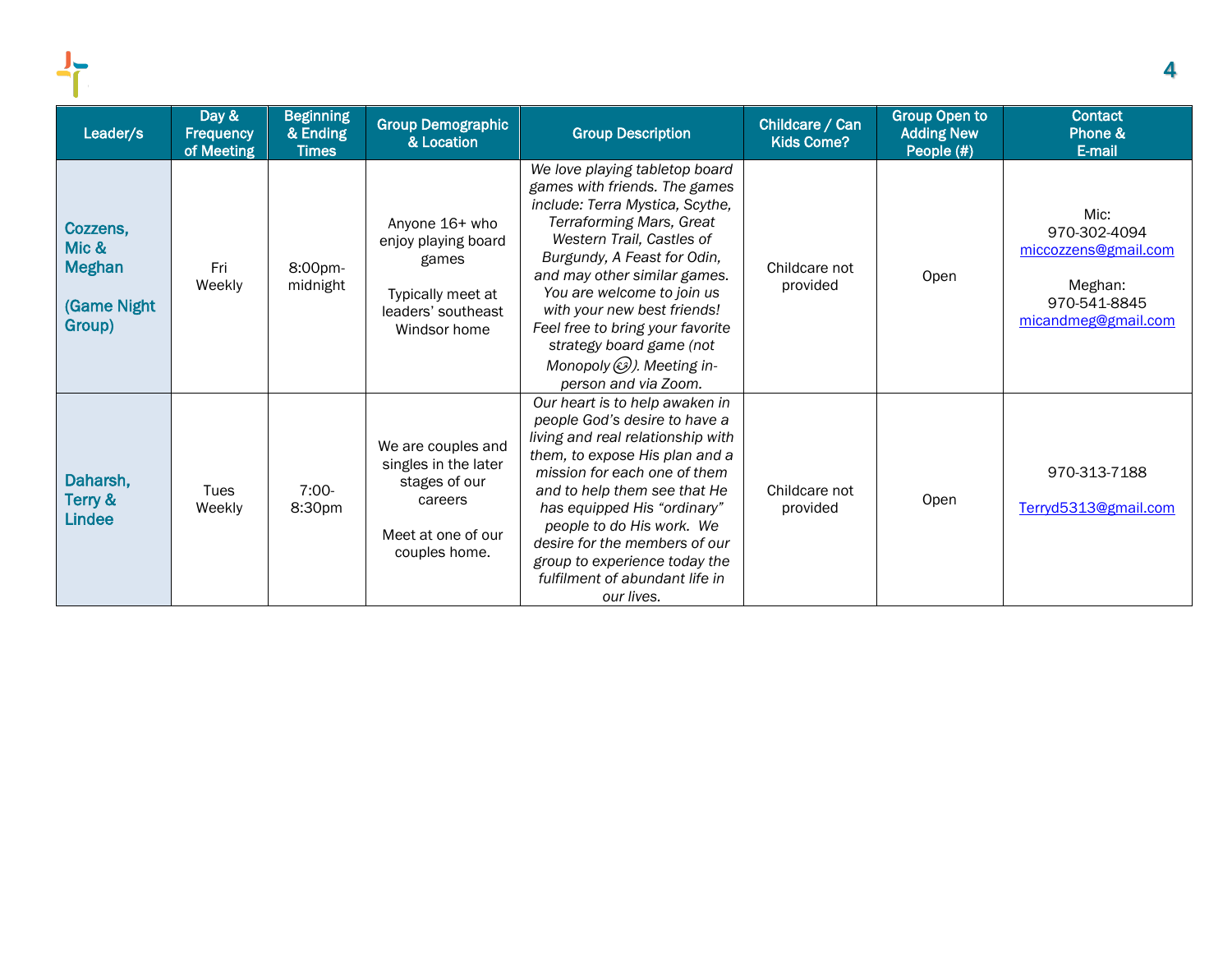| Leader/s                                                    | Day &<br><b>Frequency</b><br>of Meeting | <b>Beginning</b><br>& Ending<br><b>Times</b> | <b>Group Demographic</b><br>& Location                                                                        | <b>Group Description</b>                                                                                                                                                                                                                                                                                                                                                                                            | Childcare / Can<br><b>Kids Come?</b> | <b>Group Open to</b><br><b>Adding New</b><br>People (#) | <b>Contact</b><br>Phone &<br>E-mail                                                            |
|-------------------------------------------------------------|-----------------------------------------|----------------------------------------------|---------------------------------------------------------------------------------------------------------------|---------------------------------------------------------------------------------------------------------------------------------------------------------------------------------------------------------------------------------------------------------------------------------------------------------------------------------------------------------------------------------------------------------------------|--------------------------------------|---------------------------------------------------------|------------------------------------------------------------------------------------------------|
| Cozzens,<br>Mic &<br><b>Meghan</b><br>(Game Night<br>Group) | Fri<br>Weekly                           | 8:00pm-<br>midnight                          | Anyone 16+ who<br>enjoy playing board<br>games<br>Typically meet at<br>leaders' southeast<br>Windsor home     | We love playing tabletop board<br>games with friends. The games<br>include: Terra Mystica, Scythe,<br><b>Terraforming Mars, Great</b><br>Western Trail, Castles of<br>Burgundy, A Feast for Odin,<br>and may other similar games.<br>You are welcome to join us<br>with your new best friends!<br>Feel free to bring your favorite<br>strategy board game (not<br>Monopoly (3). Meeting in-<br>person and via Zoom. | Childcare not<br>provided            | Open                                                    | Mic:<br>970-302-4094<br>miccozzens@gmail.com<br>Meghan:<br>970-541-8845<br>micandmeg@gmail.com |
| Daharsh,<br>Terry &<br><b>Lindee</b>                        | Tues<br>Weekly                          | $7:00-$<br>8:30pm                            | We are couples and<br>singles in the later<br>stages of our<br>careers<br>Meet at one of our<br>couples home. | Our heart is to help awaken in<br>people God's desire to have a<br>living and real relationship with<br>them, to expose His plan and a<br>mission for each one of them<br>and to help them see that He<br>has equipped His "ordinary"<br>people to do His work. We<br>desire for the members of our<br>group to experience today the<br>fulfilment of abundant life in<br>our lives.                                | Childcare not<br>provided            | Open                                                    | 970-313-7188<br>Terryd5313@gmail.com                                                           |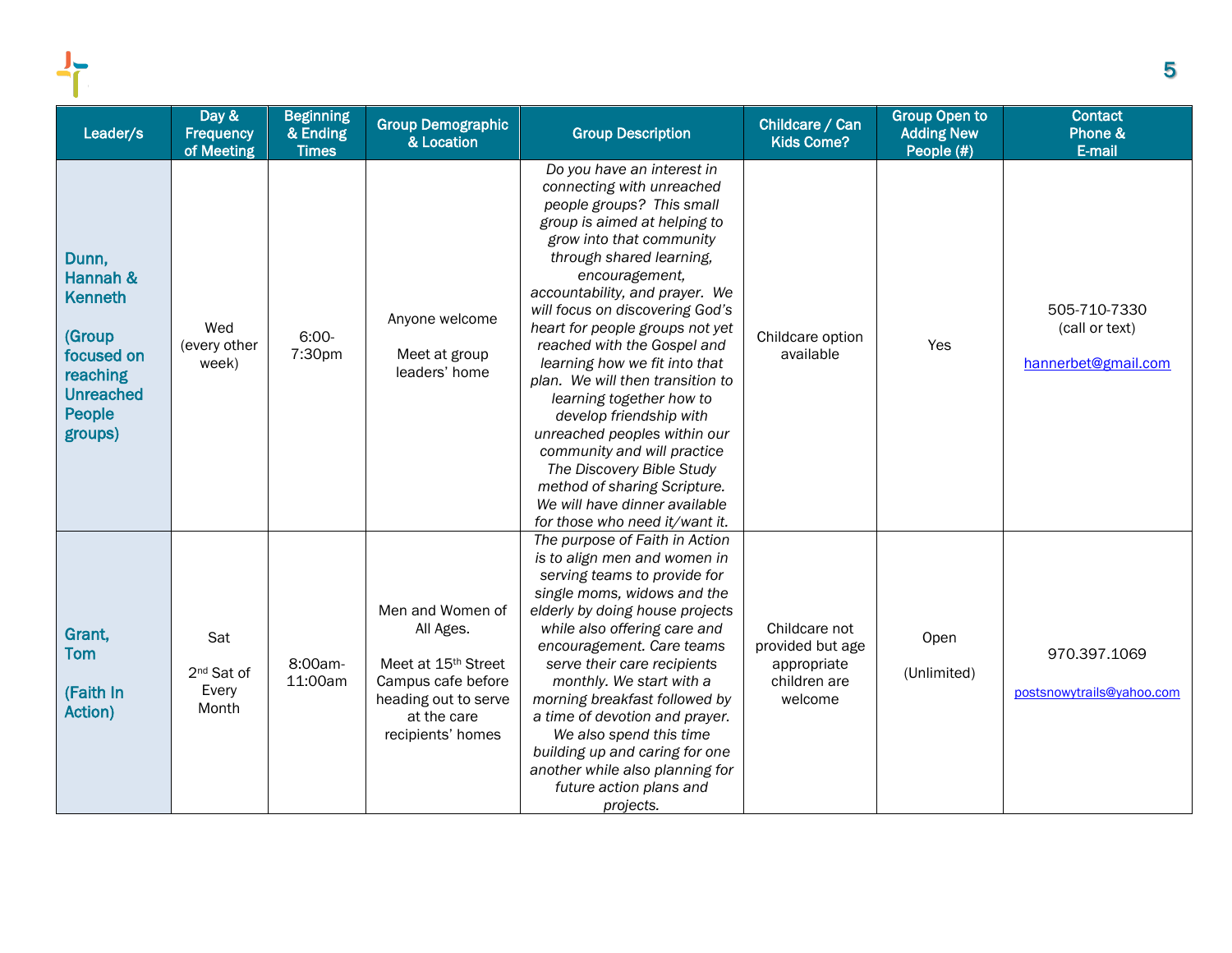| Leader/s                                                                                                         | Day &<br>Frequency<br>of Meeting                | <b>Beginning</b><br>& Ending<br><b>Times</b> | <b>Group Demographic</b><br>& Location                                                                                                             | <b>Group Description</b>                                                                                                                                                                                                                                                                                                                                                                                                                                                                                                                                                                                                                                         | Childcare / Can<br><b>Kids Come?</b>                                        | <b>Group Open to</b><br><b>Adding New</b><br>People (#) | <b>Contact</b><br>Phone &<br>E-mail                   |
|------------------------------------------------------------------------------------------------------------------|-------------------------------------------------|----------------------------------------------|----------------------------------------------------------------------------------------------------------------------------------------------------|------------------------------------------------------------------------------------------------------------------------------------------------------------------------------------------------------------------------------------------------------------------------------------------------------------------------------------------------------------------------------------------------------------------------------------------------------------------------------------------------------------------------------------------------------------------------------------------------------------------------------------------------------------------|-----------------------------------------------------------------------------|---------------------------------------------------------|-------------------------------------------------------|
| Dunn,<br>Hannah &<br><b>Kenneth</b><br>(Group<br>focused on<br>reaching<br><b>Unreached</b><br>People<br>groups) | Wed<br>(every other<br>week)                    | $6:00-$<br>7:30pm                            | Anyone welcome<br>Meet at group<br>leaders' home                                                                                                   | Do you have an interest in<br>connecting with unreached<br>people groups? This small<br>group is aimed at helping to<br>grow into that community<br>through shared learning,<br>encouragement,<br>accountability, and prayer. We<br>will focus on discovering God's<br>heart for people groups not yet<br>reached with the Gospel and<br>learning how we fit into that<br>plan. We will then transition to<br>learning together how to<br>develop friendship with<br>unreached peoples within our<br>community and will practice<br>The Discovery Bible Study<br>method of sharing Scripture.<br>We will have dinner available<br>for those who need it/want it. | Childcare option<br>available                                               | Yes                                                     | 505-710-7330<br>(call or text)<br>hannerbet@gmail.com |
| Grant,<br><b>Tom</b><br>(Faith In<br>Action)                                                                     | Sat<br>2 <sup>nd</sup> Sat of<br>Every<br>Month | 8:00am-<br>11:00am                           | Men and Women of<br>All Ages.<br>Meet at 15 <sup>th</sup> Street<br>Campus cafe before<br>heading out to serve<br>at the care<br>recipients' homes | The purpose of Faith in Action<br>is to align men and women in<br>serving teams to provide for<br>single moms, widows and the<br>elderly by doing house projects<br>while also offering care and<br>encouragement. Care teams<br>serve their care recipients<br>monthly. We start with a<br>morning breakfast followed by<br>a time of devotion and prayer.<br>We also spend this time<br>building up and caring for one<br>another while also planning for<br>future action plans and<br>projects.                                                                                                                                                              | Childcare not<br>provided but age<br>appropriate<br>children are<br>welcome | Open<br>(Unlimited)                                     | 970.397.1069<br>postsnowytrails@yahoo.com             |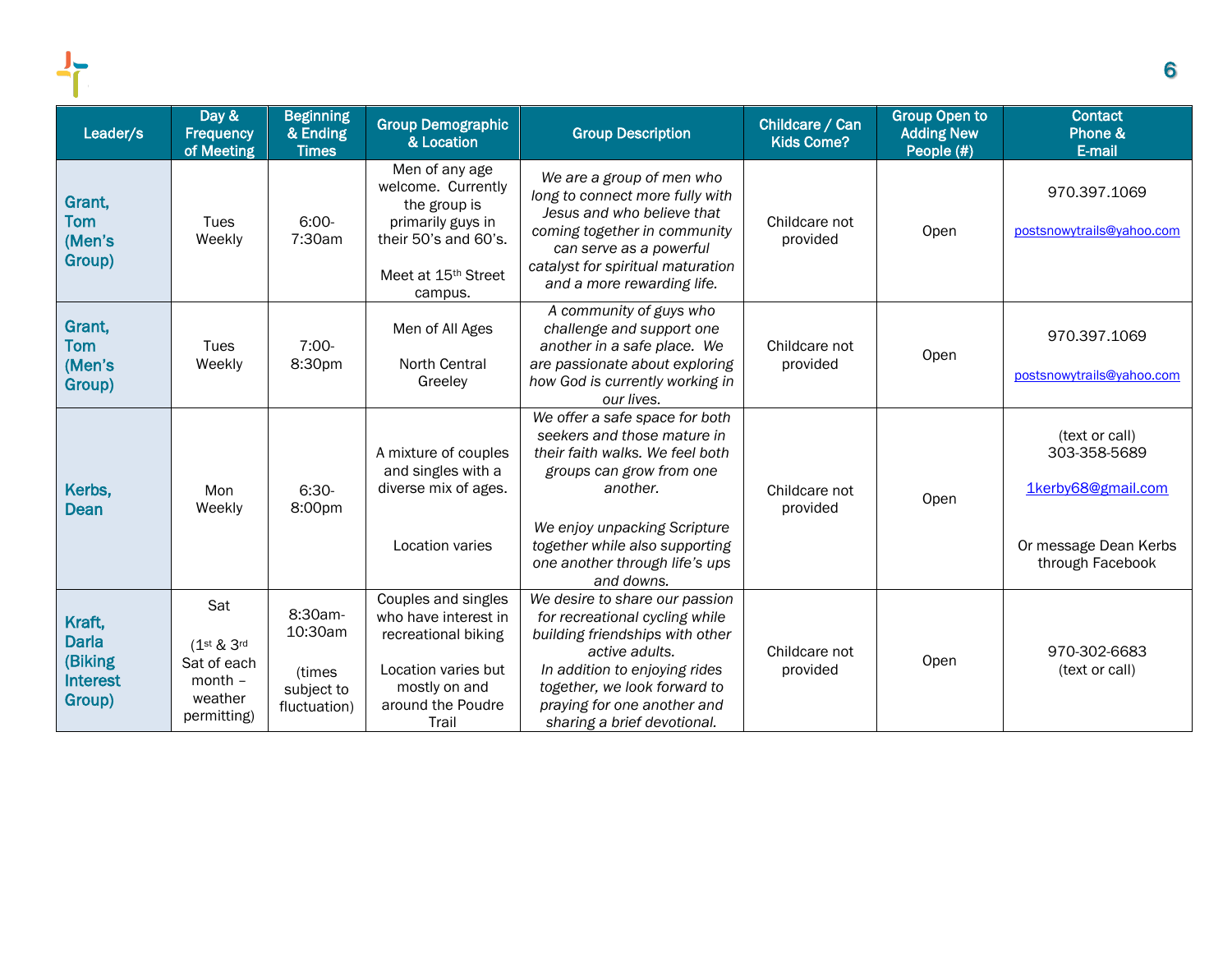| Leader/s                                                       | Day &<br><b>Frequency</b><br>of Meeting                                                           | <b>Beginning</b><br>& Ending<br><b>Times</b>               | <b>Group Demographic</b><br>& Location                                                                                                          | <b>Group Description</b>                                                                                                                                                                                                                                   | Childcare / Can<br><b>Kids Come?</b> | <b>Group Open to</b><br><b>Adding New</b><br>People (#) | <b>Contact</b><br>Phone &<br>E-mail                                                               |
|----------------------------------------------------------------|---------------------------------------------------------------------------------------------------|------------------------------------------------------------|-------------------------------------------------------------------------------------------------------------------------------------------------|------------------------------------------------------------------------------------------------------------------------------------------------------------------------------------------------------------------------------------------------------------|--------------------------------------|---------------------------------------------------------|---------------------------------------------------------------------------------------------------|
| Grant,<br><b>Tom</b><br>(Men's<br>Group)                       | Tues<br>Weekly                                                                                    | $6:00-$<br>7:30am                                          | Men of any age<br>welcome. Currently<br>the group is<br>primarily guys in<br>their 50's and 60's.<br>Meet at 15 <sup>th</sup> Street<br>campus. | We are a group of men who<br>long to connect more fully with<br>Jesus and who believe that<br>coming together in community<br>can serve as a powerful<br>catalyst for spiritual maturation<br>and a more rewarding life.                                   | Childcare not<br>provided            | Open                                                    | 970.397.1069<br>postsnowytrails@yahoo.com                                                         |
| Grant,<br><b>Tom</b><br>(Men's<br>Group)                       | Tues<br>Weekly                                                                                    | $7:00-$<br>8:30pm                                          | Men of All Ages<br>North Central<br>Greeley                                                                                                     | A community of guys who<br>challenge and support one<br>another in a safe place. We<br>are passionate about exploring<br>how God is currently working in<br>our lives.                                                                                     | Childcare not<br>provided            | Open                                                    | 970.397.1069<br>postsnowytrails@yahoo.com                                                         |
| Kerbs,<br>Dean                                                 | Mon<br>Weekly                                                                                     | $6:30-$<br>8:00pm                                          | A mixture of couples<br>and singles with a<br>diverse mix of ages.<br>Location varies                                                           | We offer a safe space for both<br>seekers and those mature in<br>their faith walks. We feel both<br>groups can grow from one<br>another.<br>We enjoy unpacking Scripture<br>together while also supporting<br>one another through life's ups<br>and downs. | Childcare not<br>provided            | Open                                                    | (text or call)<br>303-358-5689<br>1kerby68@gmail.com<br>Or message Dean Kerbs<br>through Facebook |
| Kraft,<br><b>Darla</b><br>(Biking<br><b>Interest</b><br>Group) | Sat<br>(1 <sup>st</sup> & 3 <sup>rd</sup> )<br>Sat of each<br>$month -$<br>weather<br>permitting) | 8:30am-<br>10:30am<br>(times<br>subject to<br>fluctuation) | Couples and singles<br>who have interest in<br>recreational biking<br>Location varies but<br>mostly on and<br>around the Poudre<br>Trail        | We desire to share our passion<br>for recreational cycling while<br>building friendships with other<br>active adults.<br>In addition to enjoying rides<br>together, we look forward to<br>praying for one another and<br>sharing a brief devotional.       | Childcare not<br>provided            | Open                                                    | 970-302-6683<br>(text or call)                                                                    |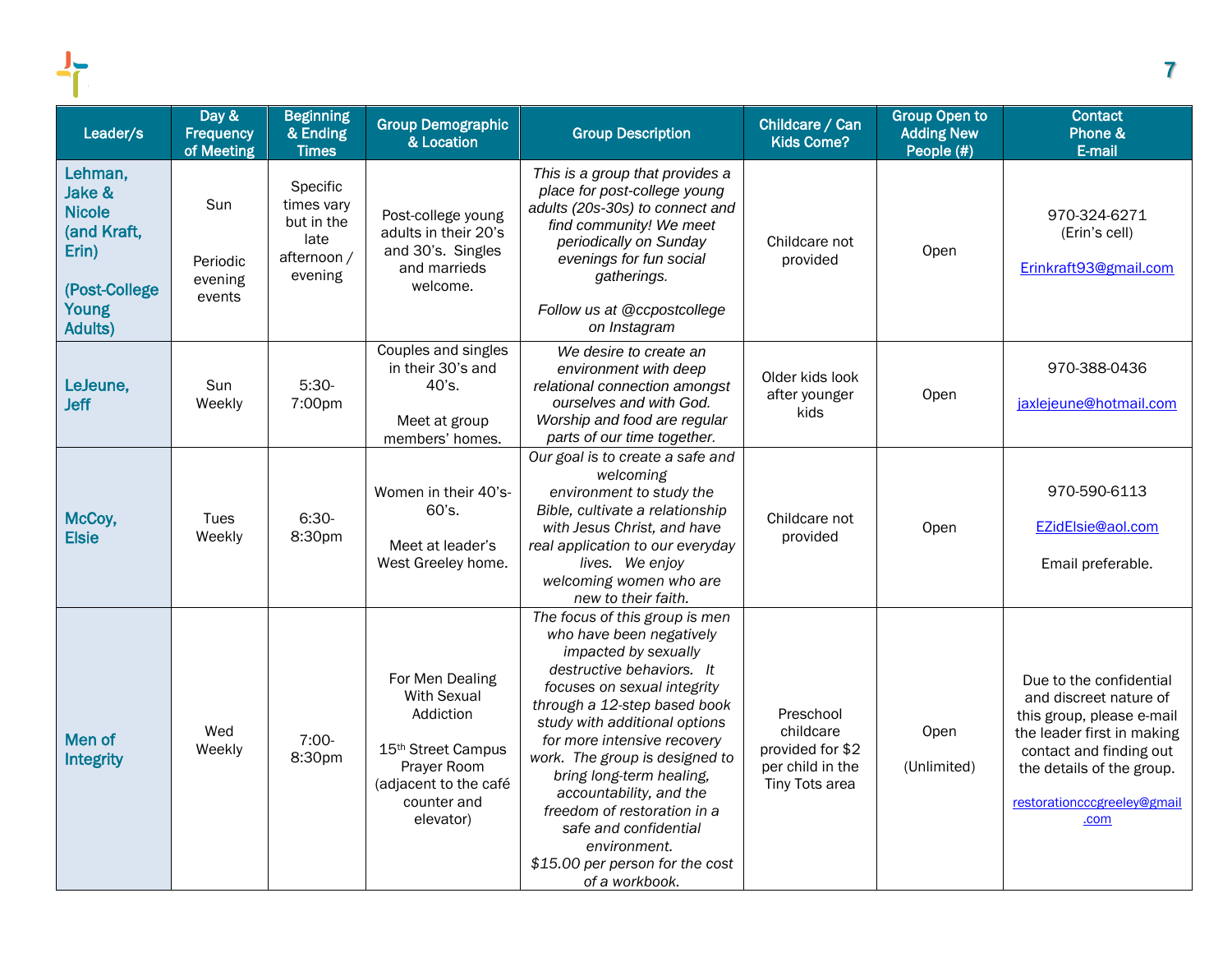| Leader/s                                                                             | Day &<br>Frequency<br>of Meeting     | <b>Beginning</b><br>& Ending<br><b>Times</b>                           | <b>Group Demographic</b><br>& Location                                                                                                                   | <b>Group Description</b>                                                                                                                                                                                                                                                                                                                                                                                                                                             | Childcare / Can<br><b>Kids Come?</b>                                             | <b>Group Open to</b><br><b>Adding New</b><br>People (#) | <b>Contact</b><br>Phone &<br>E-mail                                                                                                                                                                         |
|--------------------------------------------------------------------------------------|--------------------------------------|------------------------------------------------------------------------|----------------------------------------------------------------------------------------------------------------------------------------------------------|----------------------------------------------------------------------------------------------------------------------------------------------------------------------------------------------------------------------------------------------------------------------------------------------------------------------------------------------------------------------------------------------------------------------------------------------------------------------|----------------------------------------------------------------------------------|---------------------------------------------------------|-------------------------------------------------------------------------------------------------------------------------------------------------------------------------------------------------------------|
| Lehman,<br>Jake &<br><b>Nicole</b><br>(and Kraft,<br>Erin)<br>(Post-College<br>Young | Sun<br>Periodic<br>evening<br>events | Specific<br>times vary<br>but in the<br>late<br>afternoon /<br>evening | Post-college young<br>adults in their 20's<br>and 30's. Singles<br>and marrieds<br>welcome.                                                              | This is a group that provides a<br>place for post-college young<br>adults (20s-30s) to connect and<br>find community! We meet<br>periodically on Sunday<br>evenings for fun social<br>gatherings.<br>Follow us at @ccpostcollege                                                                                                                                                                                                                                     | Childcare not<br>provided                                                        | Open                                                    | 970-324-6271<br>(Erin's cell)<br>Erinkraft93@gmail.com                                                                                                                                                      |
| <b>Adults)</b><br>LeJeune,<br><b>Jeff</b>                                            | Sun<br>Weekly                        | $5:30-$<br>7:00pm                                                      | Couples and singles<br>in their 30's and<br>40's.<br>Meet at group<br>members' homes.                                                                    | on Instagram<br>We desire to create an<br>environment with deep<br>relational connection amongst<br>ourselves and with God.<br>Worship and food are regular<br>parts of our time together.                                                                                                                                                                                                                                                                           | Older kids look<br>after younger<br>kids                                         | Open                                                    | 970-388-0436<br>jaxlejeune@hotmail.com                                                                                                                                                                      |
| McCoy,<br><b>Elsie</b>                                                               | Tues<br>Weekly                       | $6:30-$<br>8:30pm                                                      | Women in their 40's-<br>60's.<br>Meet at leader's<br>West Greeley home.                                                                                  | Our goal is to create a safe and<br>welcoming<br>environment to study the<br>Bible, cultivate a relationship<br>with Jesus Christ, and have<br>real application to our everyday<br>lives. We enjoy<br>welcoming women who are<br>new to their faith.                                                                                                                                                                                                                 | Childcare not<br>provided                                                        | Open                                                    | 970-590-6113<br>EZidElsie@aol.com<br>Email preferable.                                                                                                                                                      |
| Men of<br><b>Integrity</b>                                                           | Wed<br>Weekly                        | $7:00-$<br>8:30pm                                                      | For Men Dealing<br><b>With Sexual</b><br>Addiction<br>15 <sup>th</sup> Street Campus<br>Prayer Room<br>(adjacent to the café<br>counter and<br>elevator) | The focus of this group is men<br>who have been negatively<br>impacted by sexually<br>destructive behaviors. It<br>focuses on sexual integrity<br>through a 12-step based book<br>study with additional options<br>for more intensive recovery<br>work. The group is designed to<br>bring long-term healing,<br>accountability, and the<br>freedom of restoration in a<br>safe and confidential<br>environment.<br>\$15.00 per person for the cost<br>of a workbook. | Preschool<br>childcare<br>provided for \$2<br>per child in the<br>Tiny Tots area | Open<br>(Unlimited)                                     | Due to the confidential<br>and discreet nature of<br>this group, please e-mail<br>the leader first in making<br>contact and finding out<br>the details of the group.<br>restorationcccgreeley@gmail<br>.com |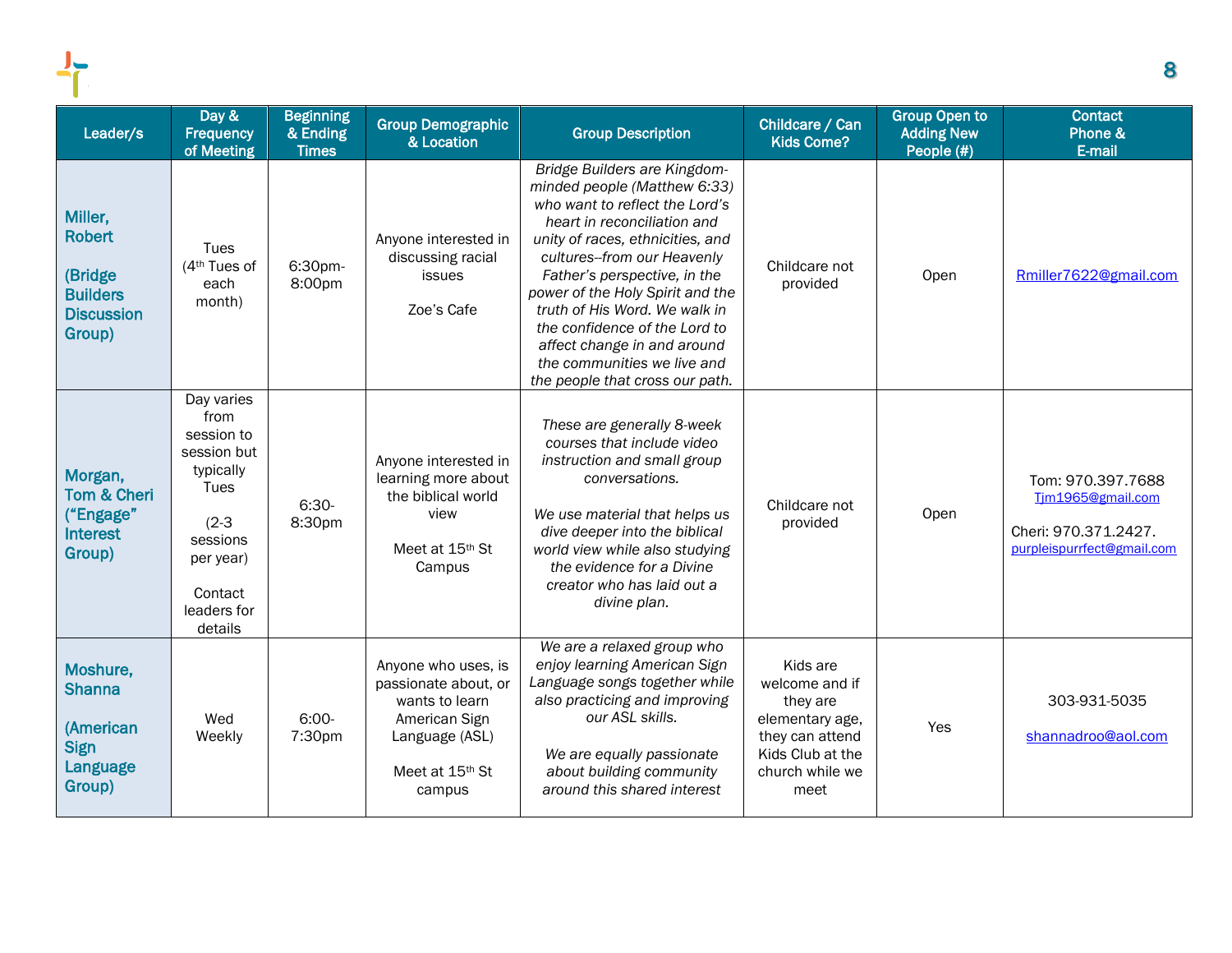| Leader/s                                                                              | Day &<br><b>Frequency</b><br>of Meeting                                                                                                       | <b>Beginning</b><br>& Ending<br><b>Times</b> | <b>Group Demographic</b><br>& Location                                                                                        | <b>Group Description</b>                                                                                                                                                                                                                                                                                                                                                                                                                | Childcare / Can<br><b>Kids Come?</b>                                                                                        | <b>Group Open to</b><br><b>Adding New</b><br>People (#) | <b>Contact</b><br>Phone &<br>E-mail                                                          |
|---------------------------------------------------------------------------------------|-----------------------------------------------------------------------------------------------------------------------------------------------|----------------------------------------------|-------------------------------------------------------------------------------------------------------------------------------|-----------------------------------------------------------------------------------------------------------------------------------------------------------------------------------------------------------------------------------------------------------------------------------------------------------------------------------------------------------------------------------------------------------------------------------------|-----------------------------------------------------------------------------------------------------------------------------|---------------------------------------------------------|----------------------------------------------------------------------------------------------|
| Miller,<br><b>Robert</b><br>(Bridge<br><b>Builders</b><br><b>Discussion</b><br>Group) | Tues<br>(4 <sup>th</sup> Tues of<br>each<br>month)                                                                                            | 6:30pm-<br>8:00pm                            | Anyone interested in<br>discussing racial<br>issues<br>Zoe's Cafe                                                             | Bridge Builders are Kingdom-<br>minded people (Matthew 6:33)<br>who want to reflect the Lord's<br>heart in reconciliation and<br>unity of races, ethnicities, and<br>cultures--from our Heavenly<br>Father's perspective, in the<br>power of the Holy Spirit and the<br>truth of His Word. We walk in<br>the confidence of the Lord to<br>affect change in and around<br>the communities we live and<br>the people that cross our path. | Childcare not<br>provided                                                                                                   | Open                                                    | Rmiller7622@gmail.com                                                                        |
| Morgan,<br>Tom & Cheri<br>("Engage"<br>Interest<br>Group)                             | Day varies<br>from<br>session to<br>session but<br>typically<br>Tues<br>$(2-3)$<br>sessions<br>per year)<br>Contact<br>leaders for<br>details | $6:30-$<br>8:30pm                            | Anyone interested in<br>learning more about<br>the biblical world<br>view<br>Meet at 15th St<br>Campus                        | These are generally 8-week<br>courses that include video<br>instruction and small group<br>conversations.<br>We use material that helps us<br>dive deeper into the biblical<br>world view while also studying<br>the evidence for a Divine<br>creator who has laid out a<br>divine plan.                                                                                                                                                | Childcare not<br>provided                                                                                                   | Open                                                    | Tom: 970.397.7688<br>Tjm1965@gmail.com<br>Cheri: 970.371.2427.<br>purpleispurrfect@gmail.com |
| Moshure,<br><b>Shanna</b><br>(American<br><b>Sign</b><br>Language<br>Group)           | Wed<br>Weekly                                                                                                                                 | $6:00-$<br>7:30pm                            | Anyone who uses, is<br>passionate about, or<br>wants to learn<br>American Sign<br>Language (ASL)<br>Meet at 15th St<br>campus | We are a relaxed group who<br>enjoy learning American Sign<br>Language songs together while<br>also practicing and improving<br>our ASL skills.<br>We are equally passionate<br>about building community<br>around this shared interest                                                                                                                                                                                                 | Kids are<br>welcome and if<br>they are<br>elementary age,<br>they can attend<br>Kids Club at the<br>church while we<br>meet | Yes                                                     | 303-931-5035<br>shannadroo@aol.com                                                           |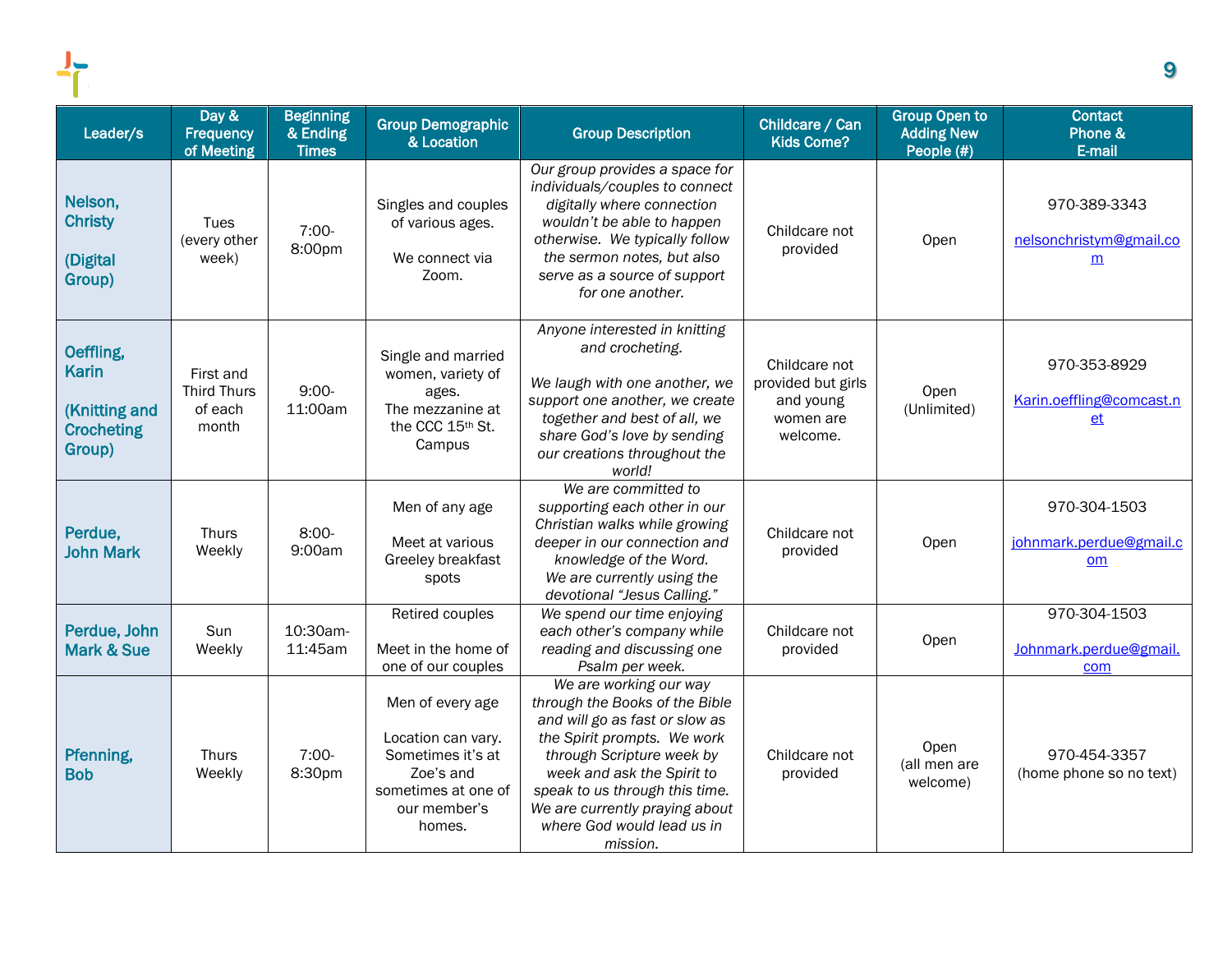| Leader/s                                                                  | Day &<br>Frequency<br>of Meeting                    | <b>Beginning</b><br>& Ending<br><b>Times</b> | <b>Group Demographic</b><br>& Location                                                                                    | <b>Group Description</b>                                                                                                                                                                                                                                                                           | Childcare / Can<br><b>Kids Come?</b>                                      | <b>Group Open to</b><br><b>Adding New</b><br>People (#) | <b>Contact</b><br>Phone &<br>E-mail                  |
|---------------------------------------------------------------------------|-----------------------------------------------------|----------------------------------------------|---------------------------------------------------------------------------------------------------------------------------|----------------------------------------------------------------------------------------------------------------------------------------------------------------------------------------------------------------------------------------------------------------------------------------------------|---------------------------------------------------------------------------|---------------------------------------------------------|------------------------------------------------------|
| Nelson,<br><b>Christy</b><br>(Digital<br>Group)                           | Tues<br>(every other<br>week)                       | 7:00-<br>8:00pm                              | Singles and couples<br>of various ages.<br>We connect via<br>Zoom.                                                        | Our group provides a space for<br>individuals/couples to connect<br>digitally where connection<br>wouldn't be able to happen<br>otherwise. We typically follow<br>the sermon notes, but also<br>serve as a source of support<br>for one another.                                                   | Childcare not<br>provided                                                 | Open                                                    | 970-389-3343<br>nelsonchristym@gmail.co<br>m         |
| Oeffling,<br><b>Karin</b><br>(Knitting and<br><b>Crocheting</b><br>Group) | First and<br><b>Third Thurs</b><br>of each<br>month | $9:00-$<br>11:00am                           | Single and married<br>women, variety of<br>ages.<br>The mezzanine at<br>the CCC 15th St.<br>Campus                        | Anyone interested in knitting<br>and crocheting.<br>We laugh with one another, we<br>support one another, we create<br>together and best of all, we<br>share God's love by sending<br>our creations throughout the<br>world!                                                                       | Childcare not<br>provided but girls<br>and young<br>women are<br>welcome. | Open<br>(Unlimited)                                     | 970-353-8929<br>Karin.oeffling@comcast.n<br>et       |
| Perdue,<br><b>John Mark</b>                                               | <b>Thurs</b><br>Weekly                              | $8:00-$<br>9:00am                            | Men of any age<br>Meet at various<br>Greeley breakfast<br>spots                                                           | We are committed to<br>supporting each other in our<br>Christian walks while growing<br>deeper in our connection and<br>knowledge of the Word.<br>We are currently using the<br>devotional "Jesus Calling."                                                                                        | Childcare not<br>provided                                                 | Open                                                    | 970-304-1503<br>johnmark.perdue@gmail.c<br><u>om</u> |
| Perdue, John<br><b>Mark &amp; Sue</b>                                     | Sun<br>Weekly                                       | 10:30am-<br>11:45am                          | Retired couples<br>Meet in the home of<br>one of our couples                                                              | We spend our time enjoying<br>each other's company while<br>reading and discussing one<br>Psalm per week.                                                                                                                                                                                          | Childcare not<br>provided                                                 | Open                                                    | 970-304-1503<br>Johnmark.perdue@gmail.<br>com        |
| Pfenning,<br><b>Bob</b>                                                   | <b>Thurs</b><br>Weekly                              | 7:00-<br>8:30pm                              | Men of every age<br>Location can vary.<br>Sometimes it's at<br>Zoe's and<br>sometimes at one of<br>our member's<br>homes. | We are working our way<br>through the Books of the Bible<br>and will go as fast or slow as<br>the Spirit prompts. We work<br>through Scripture week by<br>week and ask the Spirit to<br>speak to us through this time.<br>We are currently praying about<br>where God would lead us in<br>mission. | Childcare not<br>provided                                                 | Open<br>(all men are<br>welcome)                        | 970-454-3357<br>(home phone so no text)              |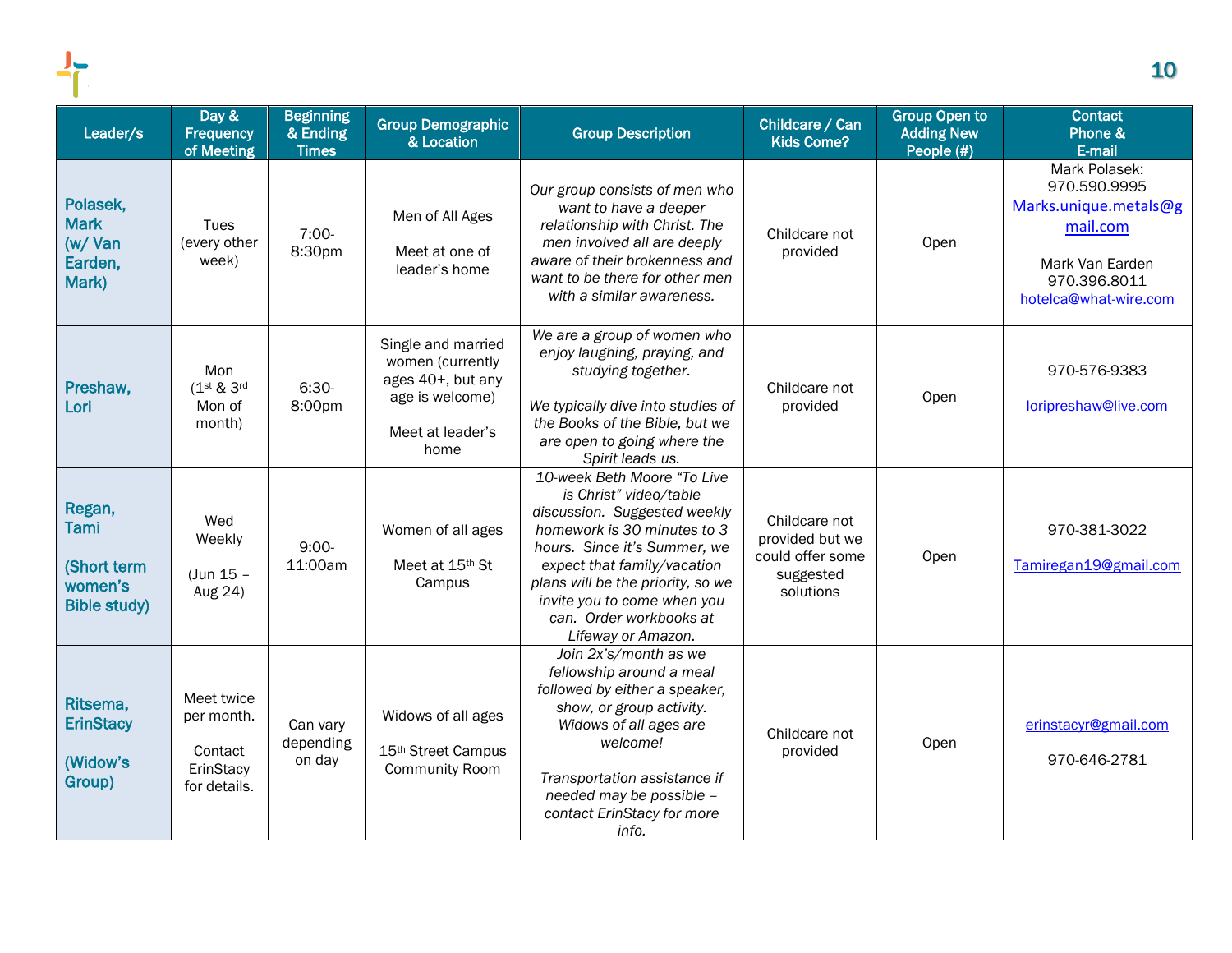| Leader/s    | Day &<br><b>Frequency</b><br>of Meeting | <b>Beginning</b><br>& Ending<br><b>Times</b> | <b>Group Demographic</b><br>& Location |
|-------------|-----------------------------------------|----------------------------------------------|----------------------------------------|
|             |                                         |                                              |                                        |
| Polasek,    |                                         |                                              |                                        |
| <b>Mark</b> | Tues                                    |                                              | Men of All Ages                        |
| (w/Van      | every other)                            | $7:00-$                                      |                                        |
| Earden,     | week)                                   | 8:30pm                                       | Meet at one of<br>leader's home        |
| .           |                                         |                                              |                                        |

|                                                                   | of Meeting                                                       | <b>Times</b>                    | α ∟υναιιν⊓                                                                                                 |                                                                                                                                                                                                                                                                                                          | <b>NUS VUITE:</b>                                                              | People (#) | E-mail                                                                                                                         |
|-------------------------------------------------------------------|------------------------------------------------------------------|---------------------------------|------------------------------------------------------------------------------------------------------------|----------------------------------------------------------------------------------------------------------------------------------------------------------------------------------------------------------------------------------------------------------------------------------------------------------|--------------------------------------------------------------------------------|------------|--------------------------------------------------------------------------------------------------------------------------------|
| Polasek,<br><b>Mark</b><br>$(w / \text{Van})$<br>Earden,<br>Mark) | Tues<br>(every other<br>week)                                    | $7:00-$<br>8:30pm               | Men of All Ages<br>Meet at one of<br>leader's home                                                         | Our group consists of men who<br>want to have a deeper<br>relationship with Christ. The<br>men involved all are deeply<br>aware of their brokenness and<br>want to be there for other men<br>with a similar awareness.                                                                                   | Childcare not<br>provided                                                      | Open       | Mark Polasek:<br>970.590.9995<br>Marks.unique.metals@g<br>mail.com<br>Mark Van Earden<br>970.396.8011<br>hotelca@what-wire.com |
| Preshaw,<br>Lori                                                  | Mon<br>(1st & 3rd<br>Mon of<br>month)                            | $6:30-$<br>8:00pm               | Single and married<br>women (currently<br>ages 40+, but any<br>age is welcome)<br>Meet at leader's<br>home | We are a group of women who<br>enjoy laughing, praying, and<br>studying together.<br>We typically dive into studies of<br>the Books of the Bible, but we<br>are open to going where the<br>Spirit leads us.                                                                                              | Childcare not<br>provided                                                      | Open       | 970-576-9383<br>loripreshaw@live.com                                                                                           |
| Regan,<br>Tami<br>(Short term<br>women's<br><b>Bible study)</b>   | Wed<br>Weekly<br>(Jun 15 -<br>Aug 24)                            | $9:00-$<br>11:00am              | Women of all ages<br>Meet at 15th St<br>Campus                                                             | 10-week Beth Moore "To Live<br>is Christ" video/table<br>discussion. Suggested weekly<br>homework is 30 minutes to 3<br>hours. Since it's Summer, we<br>expect that family/vacation<br>plans will be the priority, so we<br>invite you to come when you<br>can. Order workbooks at<br>Lifeway or Amazon. | Childcare not<br>provided but we<br>could offer some<br>suggested<br>solutions | Open       | 970-381-3022<br>Tamiregan19@gmail.com                                                                                          |
| Ritsema,<br><b>ErinStacy</b><br>(Widow's<br>Group)                | Meet twice<br>per month.<br>Contact<br>ErinStacy<br>for details. | Can vary<br>depending<br>on day | Widows of all ages<br>15 <sup>th</sup> Street Campus<br><b>Community Room</b>                              | Join 2x's/month as we<br>fellowship around a meal<br>followed by either a speaker,<br>show, or group activity.<br>Widows of all ages are<br>welcome!<br>Transportation assistance if<br>needed may be possible -<br>contact ErinStacy for more<br>info.                                                  | Childcare not<br>provided                                                      | Open       | erinstacyr@gmail.com<br>970-646-2781                                                                                           |

Group Description

Childcare / Can Kids Come?

Group Open to Adding New

**Contact** Phone &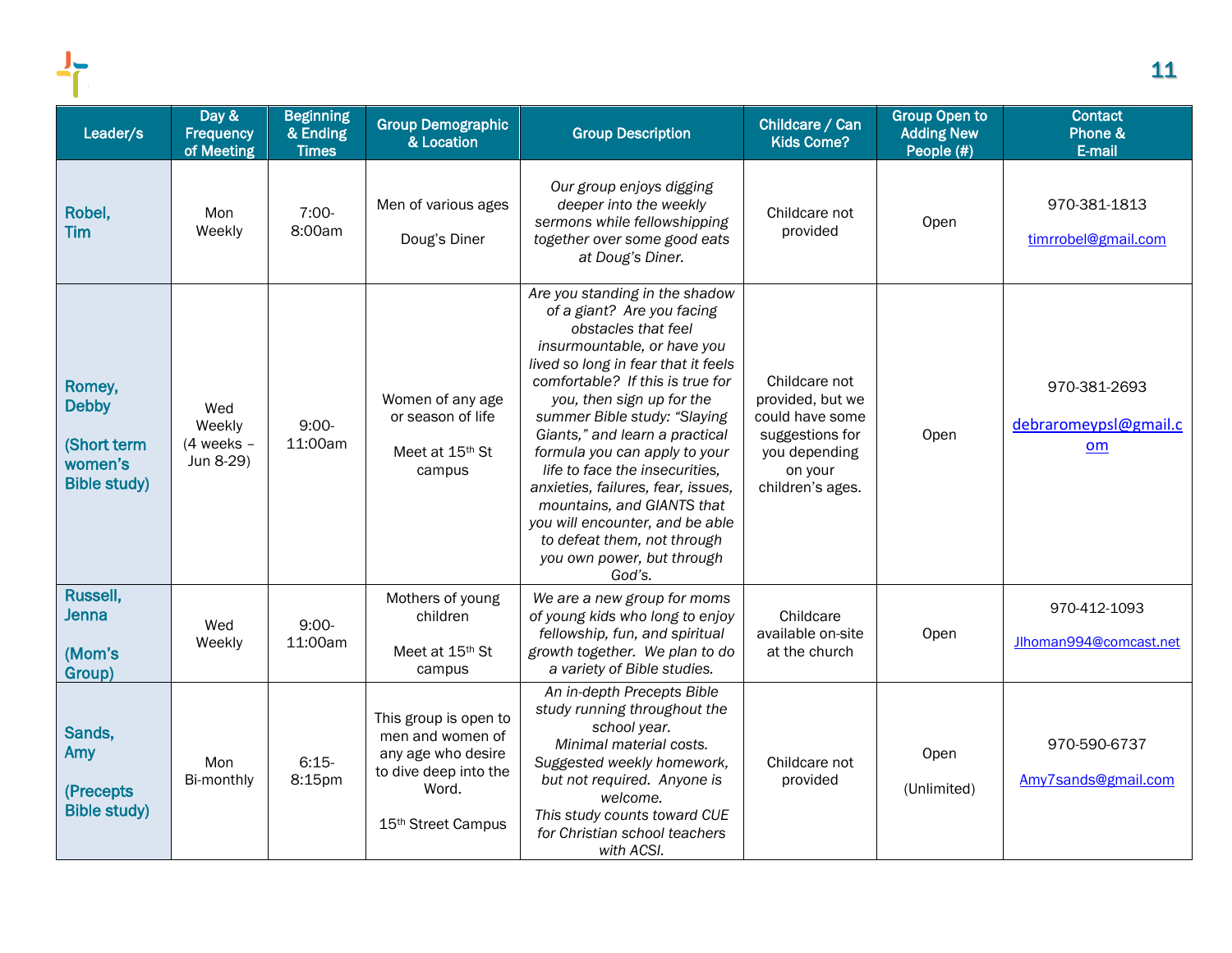| Leader/s                                                                | Day &<br><b>Frequency</b><br>of Meeting    | <b>Beginning</b><br>& Ending<br><b>Times</b> | <b>Group Demographic</b><br>& Location                                                                                  | <b>Group Description</b>                                                                                                                                                                                                                                                                                                                                                                                                                                                                                                                      | Childcare / Can<br><b>Kids Come?</b>                                                                                    | <b>Group Open to</b><br><b>Adding New</b><br>People (#) | <b>Contact</b><br>Phone &<br>E-mail         |
|-------------------------------------------------------------------------|--------------------------------------------|----------------------------------------------|-------------------------------------------------------------------------------------------------------------------------|-----------------------------------------------------------------------------------------------------------------------------------------------------------------------------------------------------------------------------------------------------------------------------------------------------------------------------------------------------------------------------------------------------------------------------------------------------------------------------------------------------------------------------------------------|-------------------------------------------------------------------------------------------------------------------------|---------------------------------------------------------|---------------------------------------------|
| Robel,<br><b>Tim</b>                                                    | Mon<br>Weekly                              | $7:00-$<br>8:00am                            | Men of various ages<br>Doug's Diner                                                                                     | Our group enjoys digging<br>deeper into the weekly<br>sermons while fellowshipping<br>together over some good eats<br>at Doug's Diner.                                                                                                                                                                                                                                                                                                                                                                                                        | Childcare not<br>provided                                                                                               | Open                                                    | 970-381-1813<br>timrrobel@gmail.com         |
| Romey,<br><b>Debby</b><br>(Short term<br>women's<br><b>Bible study)</b> | Wed<br>Weekly<br>$(4$ weeks -<br>Jun 8-29) | $9:00 -$<br>11:00am                          | Women of any age<br>or season of life<br>Meet at 15th St<br>campus                                                      | Are you standing in the shadow<br>of a giant? Are you facing<br>obstacles that feel<br>insurmountable, or have you<br>lived so long in fear that it feels<br>comfortable? If this is true for<br>you, then sign up for the<br>summer Bible study: "Slaying<br>Giants," and learn a practical<br>formula you can apply to your<br>life to face the insecurities,<br>anxieties, failures, fear, issues,<br>mountains, and GIANTS that<br>you will encounter, and be able<br>to defeat them, not through<br>you own power, but through<br>God's. | Childcare not<br>provided, but we<br>could have some<br>suggestions for<br>you depending<br>on your<br>children's ages. | Open                                                    | 970-381-2693<br>debraromeypsl@gmail.c<br>om |
| Russell,<br><b>Jenna</b><br>(Mom's<br>Group)                            | Wed<br>Weekly                              | $9:00-$<br>11:00am                           | Mothers of young<br>children<br>Meet at 15th St<br>campus                                                               | We are a new group for moms<br>of young kids who long to enjoy<br>fellowship, fun, and spiritual<br>growth together. We plan to do<br>a variety of Bible studies.                                                                                                                                                                                                                                                                                                                                                                             | Childcare<br>available on-site<br>at the church                                                                         | Open                                                    | 970-412-1093<br>Jlhoman994@comcast.net      |
| Sands,<br>Amy<br>(Precepts)<br><b>Bible study)</b>                      | Mon<br>Bi-monthly                          | $6:15-$<br>8:15pm                            | This group is open to<br>men and women of<br>any age who desire<br>to dive deep into the<br>Word.<br>15th Street Campus | An in-depth Precepts Bible<br>study running throughout the<br>school year.<br>Minimal material costs.<br>Suggested weekly homework,<br>but not required. Anyone is<br>welcome.<br>This study counts toward CUE<br>for Christian school teachers<br>with ACSI.                                                                                                                                                                                                                                                                                 | Childcare not<br>provided                                                                                               | Open<br>(Unlimited)                                     | 970-590-6737<br>Amy7sands@gmail.com         |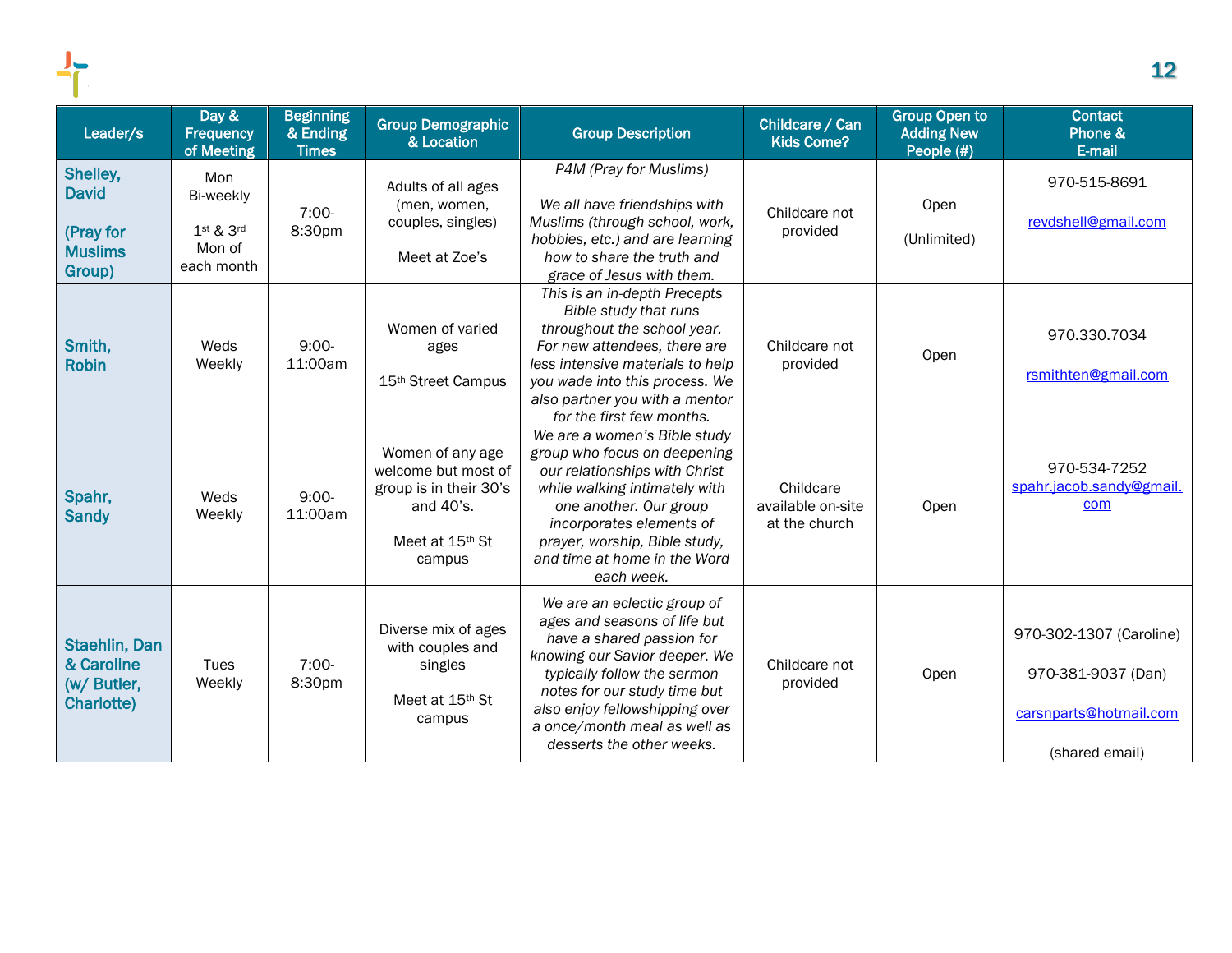| Leader/s                                                          | Day &<br><b>Frequency</b><br>of Meeting                   | <b>Beginning</b><br>& Ending<br><b>Times</b> | <b>Group Demographic</b><br>& Location                                                                                  | <b>Group Description</b>                                                                                                                                                                                                                                                                | Childcare / Can<br><b>Kids Come?</b>            | <b>Group Open to</b><br><b>Adding New</b><br>People (#) | <b>Contact</b><br>Phone &<br>E-mail                                                       |
|-------------------------------------------------------------------|-----------------------------------------------------------|----------------------------------------------|-------------------------------------------------------------------------------------------------------------------------|-----------------------------------------------------------------------------------------------------------------------------------------------------------------------------------------------------------------------------------------------------------------------------------------|-------------------------------------------------|---------------------------------------------------------|-------------------------------------------------------------------------------------------|
| Shelley,<br><b>David</b><br>(Pray for<br><b>Muslims</b><br>Group) | Mon<br>Bi-weekly<br>$1st$ & $3rd$<br>Mon of<br>each month | $7:00-$<br>8:30pm                            | Adults of all ages<br>(men, women,<br>couples, singles)<br>Meet at Zoe's                                                | P4M (Pray for Muslims)<br>We all have friendships with<br>Muslims (through school, work,<br>hobbies, etc.) and are learning<br>how to share the truth and<br>grace of Jesus with them.                                                                                                  | Childcare not<br>provided                       | Open<br>(Unlimited)                                     | 970-515-8691<br>revdshell@gmail.com                                                       |
| Smith,<br><b>Robin</b>                                            | Weds<br>Weekly                                            | $9:00-$<br>11:00am                           | Women of varied<br>ages<br>15 <sup>th</sup> Street Campus                                                               | This is an in-depth Precepts<br>Bible study that runs<br>throughout the school year.<br>For new attendees, there are<br>less intensive materials to help<br>you wade into this process. We<br>also partner you with a mentor<br>for the first few months.                               | Childcare not<br>provided                       | Open                                                    | 970.330.7034<br>rsmithten@gmail.com                                                       |
| Spahr,<br><b>Sandy</b>                                            | Weds<br>Weekly                                            | $9:00-$<br>11:00am                           | Women of any age<br>welcome but most of<br>group is in their 30's<br>and 40's.<br>Meet at 15 <sup>th</sup> St<br>campus | We are a women's Bible study<br>group who focus on deepening<br>our relationships with Christ<br>while walking intimately with<br>one another. Our group<br>incorporates elements of<br>prayer, worship, Bible study,<br>and time at home in the Word<br>each week.                     | Childcare<br>available on-site<br>at the church | Open                                                    | 970-534-7252<br>spahr.jacob.sandy@gmail.<br>com                                           |
| Staehlin, Dan<br>& Caroline<br>(w/ Butler,<br>Charlotte)          | Tues<br>Weekly                                            | $7:00-$<br>8:30pm                            | Diverse mix of ages<br>with couples and<br>singles<br>Meet at 15th St<br>campus                                         | We are an eclectic group of<br>ages and seasons of life but<br>have a shared passion for<br>knowing our Savior deeper. We<br>typically follow the sermon<br>notes for our study time but<br>also enjoy fellowshipping over<br>a once/month meal as well as<br>desserts the other weeks. | Childcare not<br>provided                       | Open                                                    | 970-302-1307 (Caroline)<br>970-381-9037 (Dan)<br>carsnparts@hotmail.com<br>(shared email) |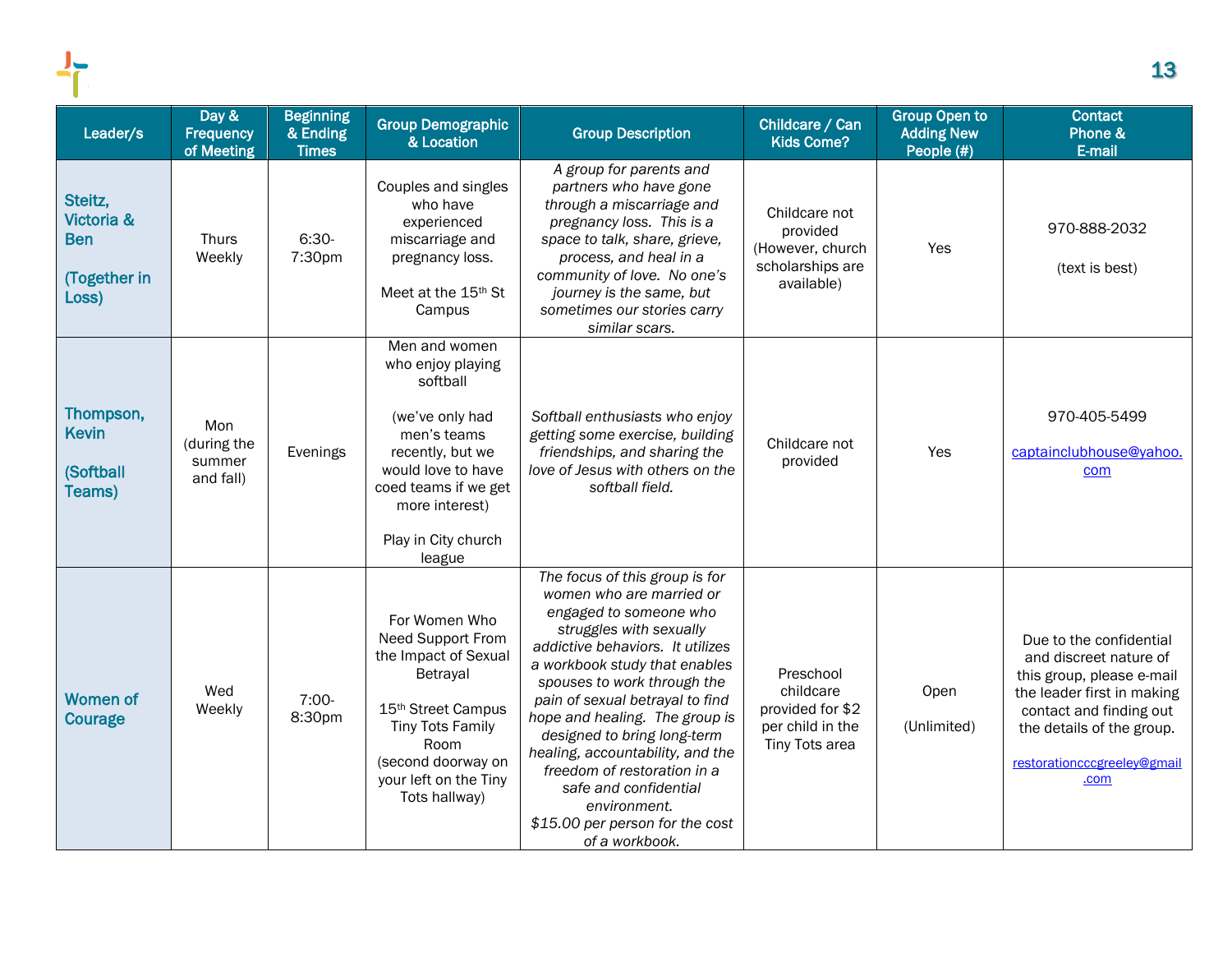| Leader/s                                                     | Day &<br>Frequency<br>of Meeting          | <b>Beginning</b><br>& Ending<br><b>Times</b> | <b>Group Demographic</b><br>& Location                                                                                                                                                                | <b>Group Description</b>                                                                                                                                                                                                                                                                                                                                                                                                                                                                 | Childcare / Can<br><b>Kids Come?</b>                                             | <b>Group Open to</b><br><b>Adding New</b><br>People (#) | <b>Contact</b><br>Phone &<br>E-mail                                                                                                                                                                         |
|--------------------------------------------------------------|-------------------------------------------|----------------------------------------------|-------------------------------------------------------------------------------------------------------------------------------------------------------------------------------------------------------|------------------------------------------------------------------------------------------------------------------------------------------------------------------------------------------------------------------------------------------------------------------------------------------------------------------------------------------------------------------------------------------------------------------------------------------------------------------------------------------|----------------------------------------------------------------------------------|---------------------------------------------------------|-------------------------------------------------------------------------------------------------------------------------------------------------------------------------------------------------------------|
| Steitz,<br>Victoria &<br><b>Ben</b><br>(Together in<br>Loss) | <b>Thurs</b><br>Weekly                    | $6:30-$<br>7:30pm                            | Couples and singles<br>who have<br>experienced<br>miscarriage and<br>pregnancy loss.<br>Meet at the 15th St<br>Campus                                                                                 | A group for parents and<br>partners who have gone<br>through a miscarriage and<br>pregnancy loss. This is a<br>space to talk, share, grieve,<br>process, and heal in a<br>community of love. No one's<br>journey is the same, but<br>sometimes our stories carry<br>similar scars.                                                                                                                                                                                                       | Childcare not<br>provided<br>(However, church<br>scholarships are<br>available)  | Yes                                                     | 970-888-2032<br>(text is best)                                                                                                                                                                              |
| Thompson,<br>Kevin<br><b>(Softball</b><br>Teams)             | Mon<br>(during the<br>summer<br>and fall) | Evenings                                     | Men and women<br>who enjoy playing<br>softball<br>(we've only had<br>men's teams<br>recently, but we<br>would love to have<br>coed teams if we get<br>more interest)<br>Play in City church<br>league | Softball enthusiasts who enjoy<br>getting some exercise, building<br>friendships, and sharing the<br>love of Jesus with others on the<br>softball field.                                                                                                                                                                                                                                                                                                                                 | Childcare not<br>provided                                                        | Yes                                                     | 970-405-5499<br>captainclubhouse@yahoo.<br>com                                                                                                                                                              |
| Women of<br>Courage                                          | Wed<br>Weekly                             | $7:00-$<br>8:30pm                            | For Women Who<br>Need Support From<br>the Impact of Sexual<br>Betrayal<br>15th Street Campus<br><b>Tiny Tots Family</b><br>Room<br>(second doorway on<br>your left on the Tiny<br>Tots hallway)       | The focus of this group is for<br>women who are married or<br>engaged to someone who<br>struggles with sexually<br>addictive behaviors. It utilizes<br>a workbook study that enables<br>spouses to work through the<br>pain of sexual betrayal to find<br>hope and healing. The group is<br>designed to bring long-term<br>healing, accountability, and the<br>freedom of restoration in a<br>safe and confidential<br>environment.<br>\$15.00 per person for the cost<br>of a workbook. | Preschool<br>childcare<br>provided for \$2<br>per child in the<br>Tiny Tots area | Open<br>(Unlimited)                                     | Due to the confidential<br>and discreet nature of<br>this group, please e-mail<br>the leader first in making<br>contact and finding out<br>the details of the group.<br>restorationcccgreeley@gmail<br>.com |